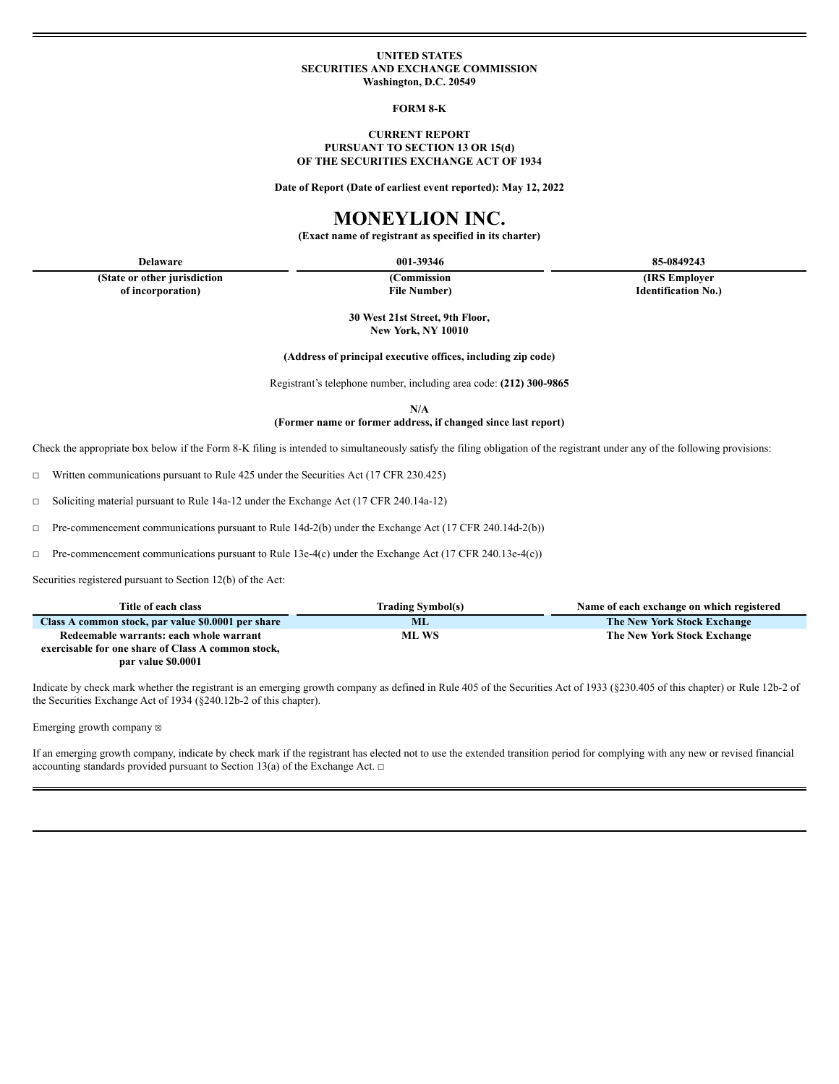#### **UNITED STATES SECURITIES AND EXCHANGE COMMISSION Washington, D.C. 20549**

**FORM 8-K**

### **CURRENT REPORT PURSUANT TO SECTION 13 OR 15(d) OF THE SECURITIES EXCHANGE ACT OF 1934**

**Date of Report (Date of earliest event reported): May 12, 2022**

# **MONEYLION INC.**

**(Exact name of registrant as specified in its charter)**

**(State or other jurisdiction of incorporation)**

**(Commission File Number)**

**Delaware 001-39346 85-0849243**

**(IRS Employer Identification No.)**

**30 West 21st Street, 9th Floor, New York, NY 10010**

**(Address of principal executive offices, including zip code)**

Registrant's telephone number, including area code: **(212) 300-9865**

**N/A**

**(Former name or former address, if changed since last report)**

Check the appropriate box below if the Form 8-K filing is intended to simultaneously satisfy the filing obligation of the registrant under any of the following provisions:

☐ Written communications pursuant to Rule 425 under the Securities Act (17 CFR 230.425)

☐ Soliciting material pursuant to Rule 14a-12 under the Exchange Act (17 CFR 240.14a-12)

☐ Pre-commencement communications pursuant to Rule 14d-2(b) under the Exchange Act (17 CFR 240.14d-2(b))

☐ Pre-commencement communications pursuant to Rule 13e-4(c) under the Exchange Act (17 CFR 240.13e-4(c))

Securities registered pursuant to Section 12(b) of the Act:

| Title of each class                                | <b>Trading Symbol(s)</b> | Name of each exchange on which registered |
|----------------------------------------------------|--------------------------|-------------------------------------------|
| Class A common stock, par value \$0.0001 per share | ML                       | The New York Stock Exchange               |
| Redeemable warrants: each whole warrant            | ML WS                    | The New York Stock Exchange               |
| exercisable for one share of Class A common stock, |                          |                                           |
| par value \$0.0001                                 |                          |                                           |

Indicate by check mark whether the registrant is an emerging growth company as defined in Rule 405 of the Securities Act of 1933 (§230.405 of this chapter) or Rule 12b-2 of the Securities Exchange Act of 1934 (§240.12b-2 of this chapter).

Emerging growth company  $\boxtimes$ 

If an emerging growth company, indicate by check mark if the registrant has elected not to use the extended transition period for complying with any new or revised financial accounting standards provided pursuant to Section 13(a) of the Exchange Act.  $\Box$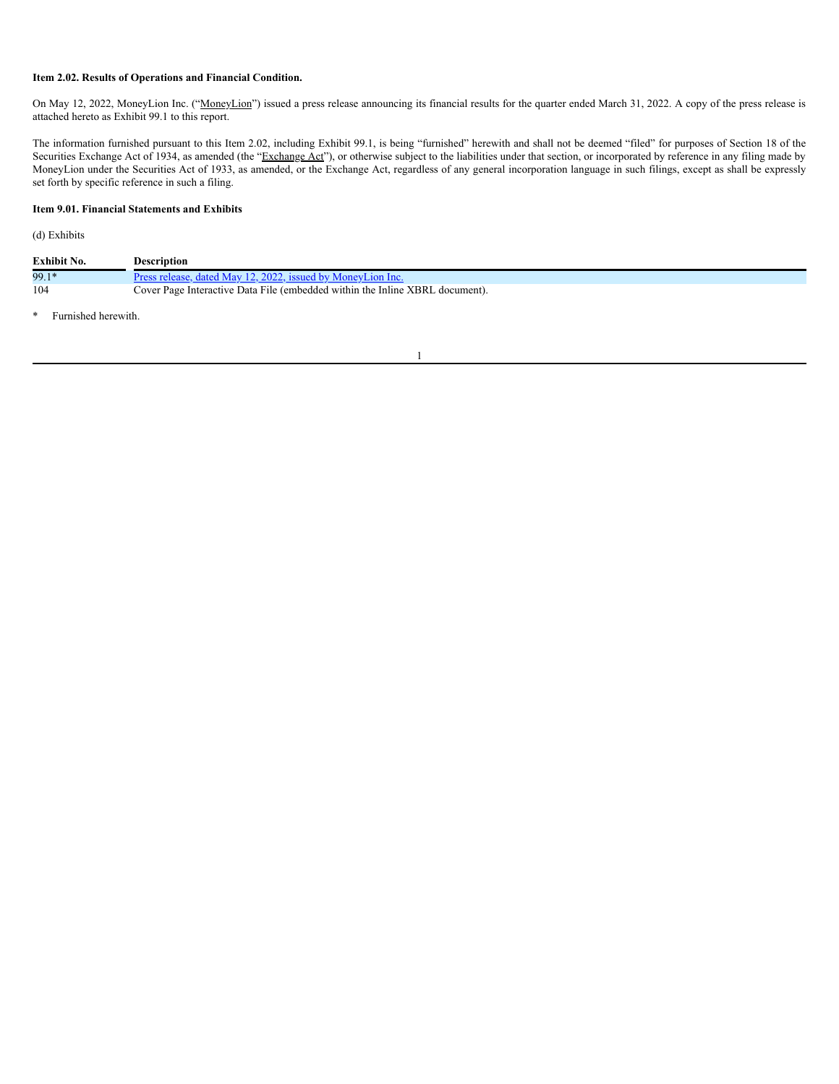## **Item 2.02. Results of Operations and Financial Condition.**

On May 12, 2022, MoneyLion Inc. ("MoneyLion") issued a press release announcing its financial results for the quarter ended March 31, 2022. A copy of the press release is attached hereto as Exhibit 99.1 to this report.

The information furnished pursuant to this Item 2.02, including Exhibit 99.1, is being "furnished" herewith and shall not be deemed "filed" for purposes of Section 18 of the Securities Exchange Act of 1934, as amended (the "Exchange Act"), or otherwise subject to the liabilities under that section, or incorporated by reference in any filing made by MoneyLion under the Securities Act of 1933, as amended, or the Exchange Act, regardless of any general incorporation language in such filings, except as shall be expressly set forth by specific reference in such a filing.

## **Item 9.01. Financial Statements and Exhibits**

## (d) Exhibits

| Exhibit No. | Description                                                                  |
|-------------|------------------------------------------------------------------------------|
| 99.1*       | Press release, dated May 12, 2022, issued by MoneyLion Inc.                  |
| 104         | Cover Page Interactive Data File (embedded within the Inline XBRL document). |

1

\* Furnished herewith.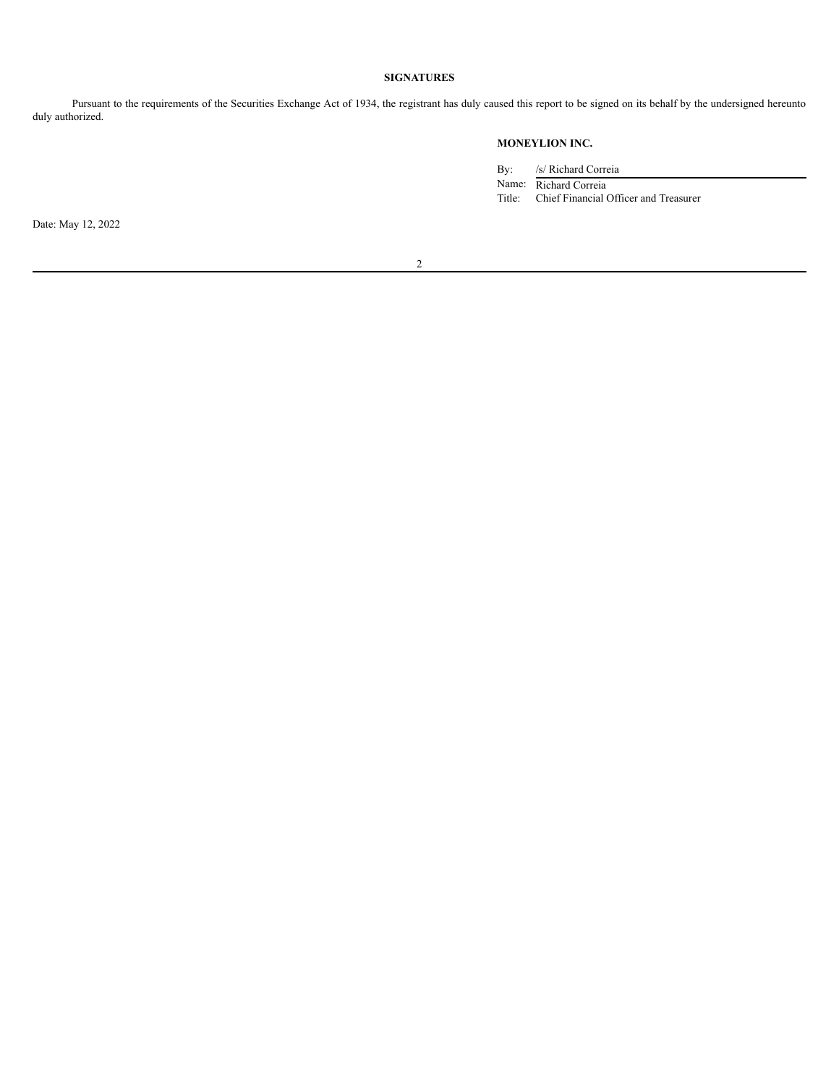## **SIGNATURES**

Pursuant to the requirements of the Securities Exchange Act of 1934, the registrant has duly caused this report to be signed on its behalf by the undersigned hereunto duly authorized.

## **MONEYLION INC.**

By: /s/ Richard Correia

Name: Richard Correia Title: Chief Financial Officer and Treasurer

Date: May 12, 2022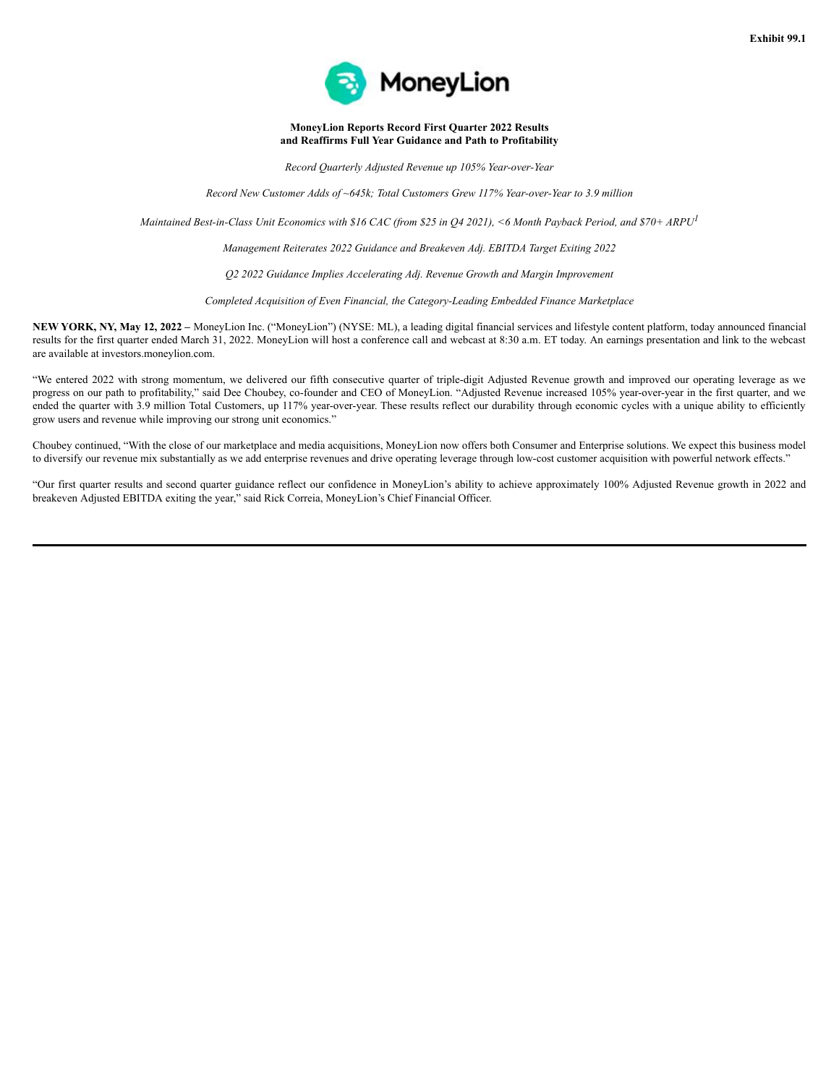

**MoneyLion Reports Record First Quarter 2022 Results and Reaffirms Full Year Guidance and Path to Profitability**

*Record Quarterly Adjusted Revenue up 105% Year-over-Year*

*Record New Customer Adds of ~645k; Total Customers Grew 117% Year-over-Year to 3.9 million*

Maintained Best-in-Class Unit Economics with \$16 CAC (from \$25 in Q4 2021), <6 Month Payback Period, and \$70+ ARPU<sup>1</sup>

*Management Reiterates 2022 Guidance and Breakeven Adj. EBITDA Target Exiting 2022*

*Q2 2022 Guidance Implies Accelerating Adj. Revenue Growth and Margin Improvement*

*Completed Acquisition of Even Financial, the Category-Leading Embedded Finance Marketplace*

**NEW YORK, NY, May 12, 2022 –** MoneyLion Inc. ("MoneyLion") (NYSE: ML), a leading digital financial services and lifestyle content platform, today announced financial results for the first quarter ended March 31, 2022. MoneyLion will host a conference call and webcast at 8:30 a.m. ET today. An earnings presentation and link to the webcast are available at investors.moneylion.com.

"We entered 2022 with strong momentum, we delivered our fifth consecutive quarter of triple-digit Adjusted Revenue growth and improved our operating leverage as we progress on our path to profitability," said Dee Choubey, co-founder and CEO of MoneyLion. "Adjusted Revenue increased 105% year-over-year in the first quarter, and we ended the quarter with 3.9 million Total Customers, up 117% year-over-year. These results reflect our durability through economic cycles with a unique ability to efficiently grow users and revenue while improving our strong unit economics."

Choubey continued, "With the close of our marketplace and media acquisitions, MoneyLion now offers both Consumer and Enterprise solutions. We expect this business model to diversify our revenue mix substantially as we add enterprise revenues and drive operating leverage through low-cost customer acquisition with powerful network effects."

"Our first quarter results and second quarter guidance reflect our confidence in MoneyLion's ability to achieve approximately 100% Adjusted Revenue growth in 2022 and breakeven Adjusted EBITDA exiting the year," said Rick Correia, MoneyLion's Chief Financial Officer.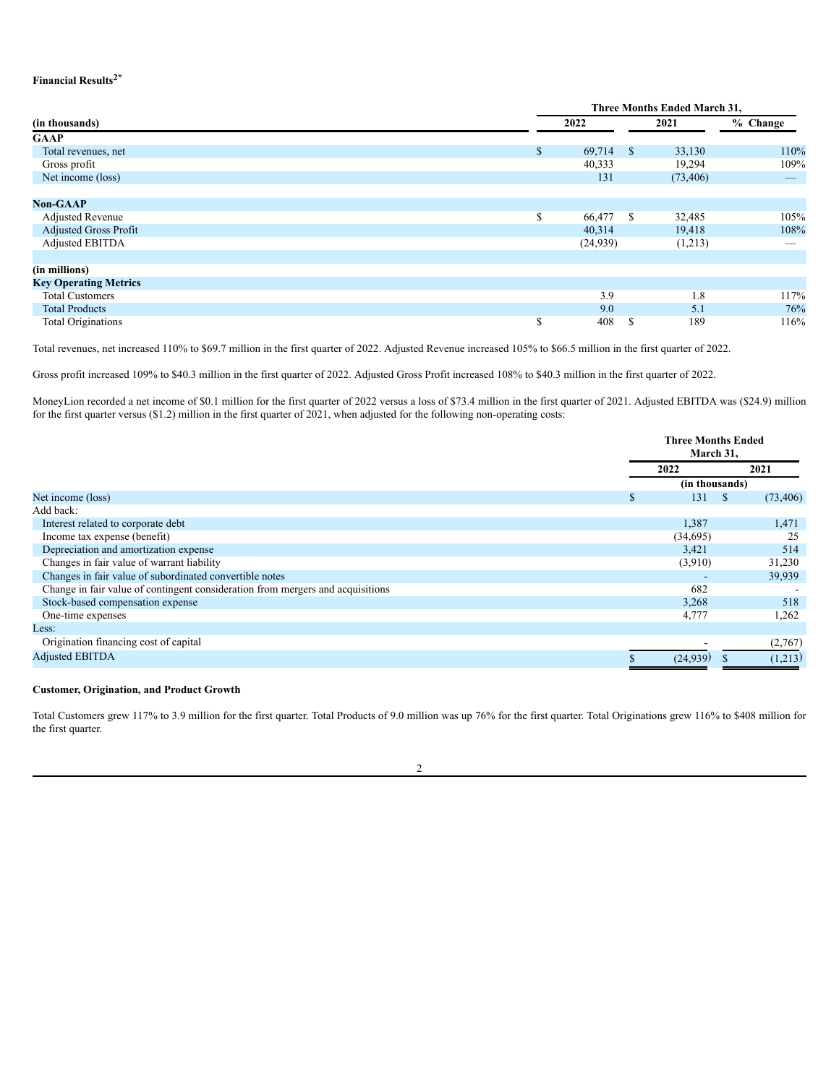## **Financial Results 2\***

|                              |    | <b>Three Months Ended March 31,</b> |    |           |            |  |  |  |
|------------------------------|----|-------------------------------------|----|-----------|------------|--|--|--|
| (in thousands)               |    | 2022                                |    | 2021      | $%$ Change |  |  |  |
| <b>GAAP</b>                  |    |                                     |    |           |            |  |  |  |
| Total revenues, net          | \$ | 69,714                              | -S | 33,130    | 110%       |  |  |  |
| Gross profit                 |    | 40,333                              |    | 19,294    | 109%       |  |  |  |
| Net income (loss)            |    | 131                                 |    | (73, 406) |            |  |  |  |
|                              |    |                                     |    |           |            |  |  |  |
| <b>Non-GAAP</b>              |    |                                     |    |           |            |  |  |  |
| <b>Adjusted Revenue</b>      | \$ | 66,477                              | -S | 32,485    | 105%       |  |  |  |
| <b>Adjusted Gross Profit</b> |    | 40,314                              |    | 19,418    | 108%       |  |  |  |
| Adjusted EBITDA              |    | (24, 939)                           |    | (1,213)   | __         |  |  |  |
|                              |    |                                     |    |           |            |  |  |  |
| (in millions)                |    |                                     |    |           |            |  |  |  |
| <b>Key Operating Metrics</b> |    |                                     |    |           |            |  |  |  |
| <b>Total Customers</b>       |    | 3.9                                 |    | 1.8       | 117%       |  |  |  |
| <b>Total Products</b>        |    | 9.0                                 |    | 5.1       | 76%        |  |  |  |
| <b>Total Originations</b>    | S  | 408                                 | \$ | 189       | 116%       |  |  |  |

Total revenues, net increased 110% to \$69.7 million in the first quarter of 2022. Adjusted Revenue increased 105% to \$66.5 million in the first quarter of 2022.

Gross profit increased 109% to \$40.3 million in the first quarter of 2022. Adjusted Gross Profit increased 108% to \$40.3 million in the first quarter of 2022.

MoneyLion recorded a net income of \$0.1 million for the first quarter of 2022 versus a loss of \$73.4 million in the first quarter of 2021. Adjusted EBITDA was (\$24.9) million for the first quarter versus (\$1.2) million in the first quarter of 2021, when adjusted for the following non-operating costs:

|                                                                                | <b>Three Months Ended</b><br>March 31, |           |                   |  |
|--------------------------------------------------------------------------------|----------------------------------------|-----------|-------------------|--|
|                                                                                | 2022                                   |           | 2021              |  |
|                                                                                |                                        |           | (in thousands)    |  |
| Net income (loss)                                                              | \$                                     | 131       | (73, 406)<br>- \$ |  |
| Add back:                                                                      |                                        |           |                   |  |
| Interest related to corporate debt                                             |                                        | 1,387     | 1,471             |  |
| Income tax expense (benefit)                                                   |                                        | (34,695)  | 25                |  |
| Depreciation and amortization expense                                          |                                        | 3,421     | 514               |  |
| Changes in fair value of warrant liability                                     |                                        | (3,910)   | 31,230            |  |
| Changes in fair value of subordinated convertible notes                        |                                        |           | 39,939            |  |
| Change in fair value of contingent consideration from mergers and acquisitions |                                        | 682       |                   |  |
| Stock-based compensation expense                                               |                                        | 3,268     | 518               |  |
| One-time expenses                                                              |                                        | 4,777     | 1,262             |  |
| Less:                                                                          |                                        |           |                   |  |
| Origination financing cost of capital                                          |                                        |           | (2,767)           |  |
| <b>Adjusted EBITDA</b>                                                         |                                        | (24, 939) | (1,213)           |  |

#### **Customer, Origination, and Product Growth**

Total Customers grew 117% to 3.9 million for the first quarter. Total Products of 9.0 million was up 76% for the first quarter. Total Originations grew 116% to \$408 million for the first quarter.

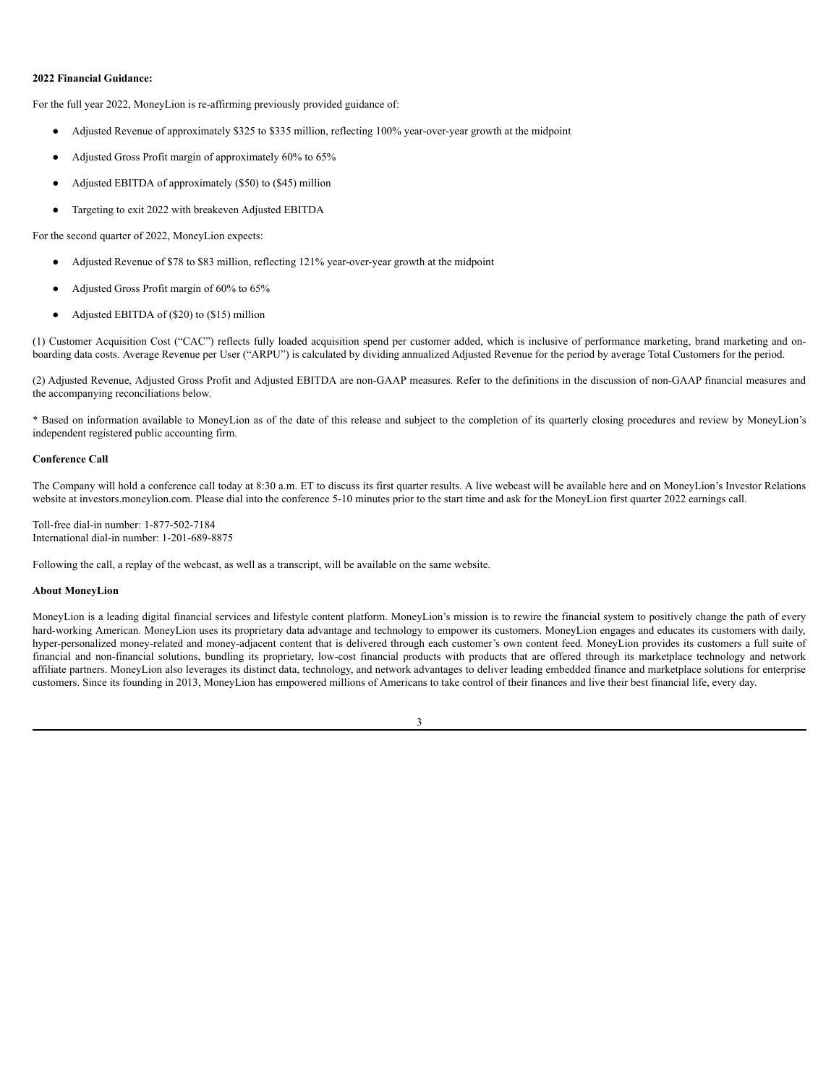#### **2022 Financial Guidance:**

For the full year 2022, MoneyLion is re-affirming previously provided guidance of:

- Adjusted Revenue of approximately \$325 to \$335 million, reflecting 100% year-over-year growth at the midpoint
- Adjusted Gross Profit margin of approximately 60% to 65%
- Adjusted EBITDA of approximately (\$50) to (\$45) million
- Targeting to exit 2022 with breakeven Adjusted EBITDA

For the second quarter of 2022, MoneyLion expects:

- Adjusted Revenue of \$78 to \$83 million, reflecting 121% year-over-year growth at the midpoint
- Adjusted Gross Profit margin of 60% to 65%
- Adjusted EBITDA of (\$20) to (\$15) million

(1) Customer Acquisition Cost ("CAC") reflects fully loaded acquisition spend per customer added, which is inclusive of performance marketing, brand marketing and onboarding data costs. Average Revenue per User ("ARPU") is calculated by dividing annualized Adjusted Revenue for the period by average Total Customers for the period.

(2) Adjusted Revenue, Adjusted Gross Profit and Adjusted EBITDA are non-GAAP measures. Refer to the definitions in the discussion of non-GAAP financial measures and the accompanying reconciliations below.

\* Based on information available to MoneyLion as of the date of this release and subject to the completion of its quarterly closing procedures and review by MoneyLion's independent registered public accounting firm.

## **Conference Call**

The Company will hold a conference call today at 8:30 a.m. ET to discuss its first quarter results. A live webcast will be available here and on MoneyLion's Investor Relations website at investors.moneylion.com. Please dial into the conference 5-10 minutes prior to the start time and ask for the MoneyLion first quarter 2022 earnings call.

Toll-free dial-in number: 1-877-502-7184 International dial-in number: 1-201-689-8875

Following the call, a replay of the webcast, as well as a transcript, will be available on the same website.

#### **About MoneyLion**

MoneyLion is a leading digital financial services and lifestyle content platform. MoneyLion's mission is to rewire the financial system to positively change the path of every hard-working American. MoneyLion uses its proprietary data advantage and technology to empower its customers. MoneyLion engages and educates its customers with daily, hyper-personalized money-related and money-adjacent content that is delivered through each customer's own content feed. MoneyLion provides its customers a full suite of financial and non-financial solutions, bundling its proprietary, low-cost financial products with products that are offered through its marketplace technology and network affiliate partners. MoneyLion also leverages its distinct data, technology, and network advantages to deliver leading embedded finance and marketplace solutions for enterprise customers. Since its founding in 2013, MoneyLion has empowered millions of Americans to take control of their finances and live their best financial life, every day.

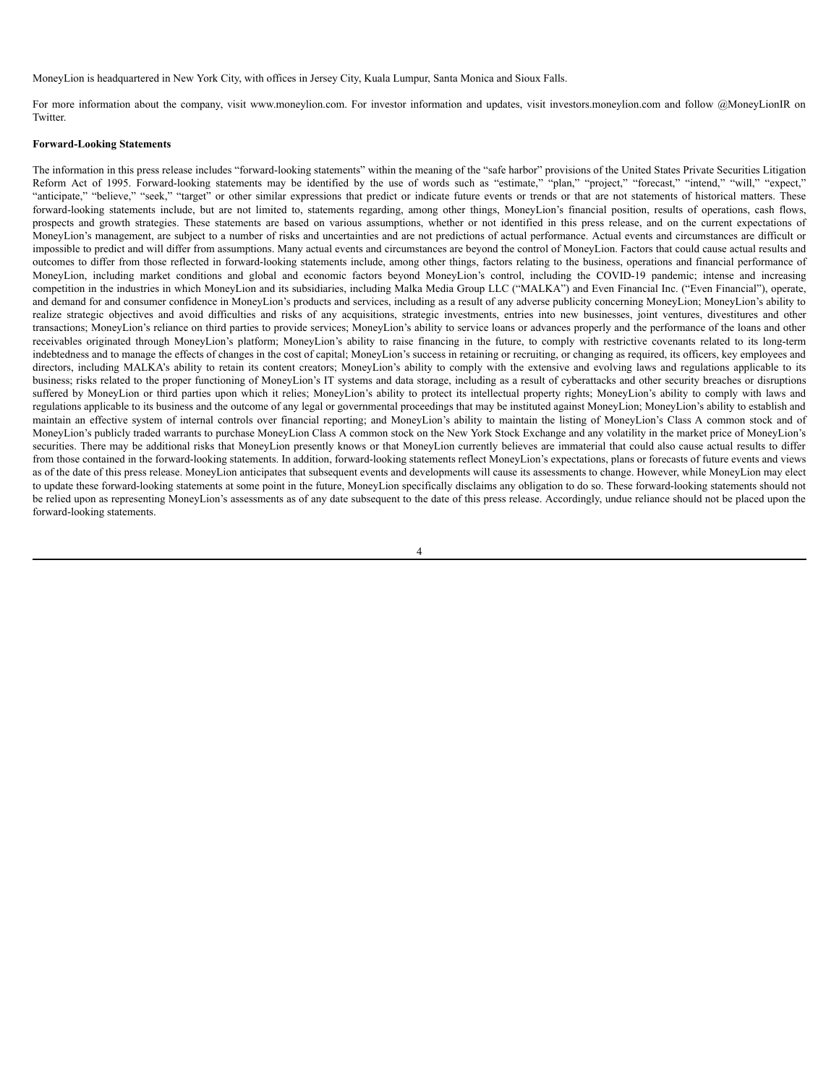MoneyLion is headquartered in New York City, with offices in Jersey City, Kuala Lumpur, Santa Monica and Sioux Falls.

For more information about the company, visit www.moneylion.com. For investor information and updates, visit investors.moneylion.com and follow @MoneyLionIR on **Twitter** 

#### **Forward-Looking Statements**

The information in this press release includes "forward-looking statements" within the meaning of the "safe harbor" provisions of the United States Private Securities Litigation Reform Act of 1995. Forward-looking statements may be identified by the use of words such as "estimate," "plan," "project," "forecast," "intend," "will," "expect," "anticipate," "believe," "seek," "target" or other similar expressions that predict or indicate future events or trends or that are not statements of historical matters. These forward-looking statements include, but are not limited to, statements regarding, among other things, MoneyLion's financial position, results of operations, cash flows, prospects and growth strategies. These statements are based on various assumptions, whether or not identified in this press release, and on the current expectations of MoneyLion's management, are subject to a number of risks and uncertainties and are not predictions of actual performance. Actual events and circumstances are difficult or impossible to predict and will differ from assumptions. Many actual events and circumstances are beyond the control of MoneyLion. Factors that could cause actual results and outcomes to differ from those reflected in forward-looking statements include, among other things, factors relating to the business, operations and financial performance of MoneyLion, including market conditions and global and economic factors beyond MoneyLion's control, including the COVID-19 pandemic; intense and increasing competition in the industries in which MoneyLion and its subsidiaries, including Malka Media Group LLC ("MALKA") and Even Financial Inc. ("Even Financial"), operate, and demand for and consumer confidence in MoneyLion's products and services, including as a result of any adverse publicity concerning MoneyLion; MoneyLion's ability to realize strategic objectives and avoid difficulties and risks of any acquisitions, strategic investments, entries into new businesses, joint ventures, divestitures and other transactions; MoneyLion's reliance on third parties to provide services; MoneyLion's ability to service loans or advances properly and the performance of the loans and other receivables originated through MoneyLion's platform; MoneyLion's ability to raise financing in the future, to comply with restrictive covenants related to its long-term indebtedness and to manage the effects of changes in the cost of capital; MoneyLion's success in retaining or recruiting, or changing as required, its officers, key employees and directors, including MALKA's ability to retain its content creators; MoneyLion's ability to comply with the extensive and evolving laws and regulations applicable to its business; risks related to the proper functioning of MoneyLion's IT systems and data storage, including as a result of cyberattacks and other security breaches or disruptions suffered by MoneyLion or third parties upon which it relies; MoneyLion's ability to protect its intellectual property rights; MoneyLion's ability to comply with laws and regulations applicable to its business and the outcome of any legal or governmental proceedings that may be instituted against MoneyLion; MoneyLion's ability to establish and maintain an effective system of internal controls over financial reporting; and MoneyLion's ability to maintain the listing of MoneyLion's Class A common stock and of MoneyLion's publicly traded warrants to purchase MoneyLion Class A common stock on the New York Stock Exchange and any volatility in the market price of MoneyLion's securities. There may be additional risks that MoneyLion presently knows or that MoneyLion currently believes are immaterial that could also cause actual results to differ from those contained in the forward-looking statements. In addition, forward-looking statements reflect MoneyLion's expectations, plans or forecasts of future events and views as of the date of this press release. MoneyLion anticipates that subsequent events and developments will cause its assessments to change. However, while MoneyLion may elect to update these forward-looking statements at some point in the future, MoneyLion specifically disclaims any obligation to do so. These forward-looking statements should not be relied upon as representing MoneyLion's assessments as of any date subsequent to the date of this press release. Accordingly, undue reliance should not be placed upon the forward-looking statements.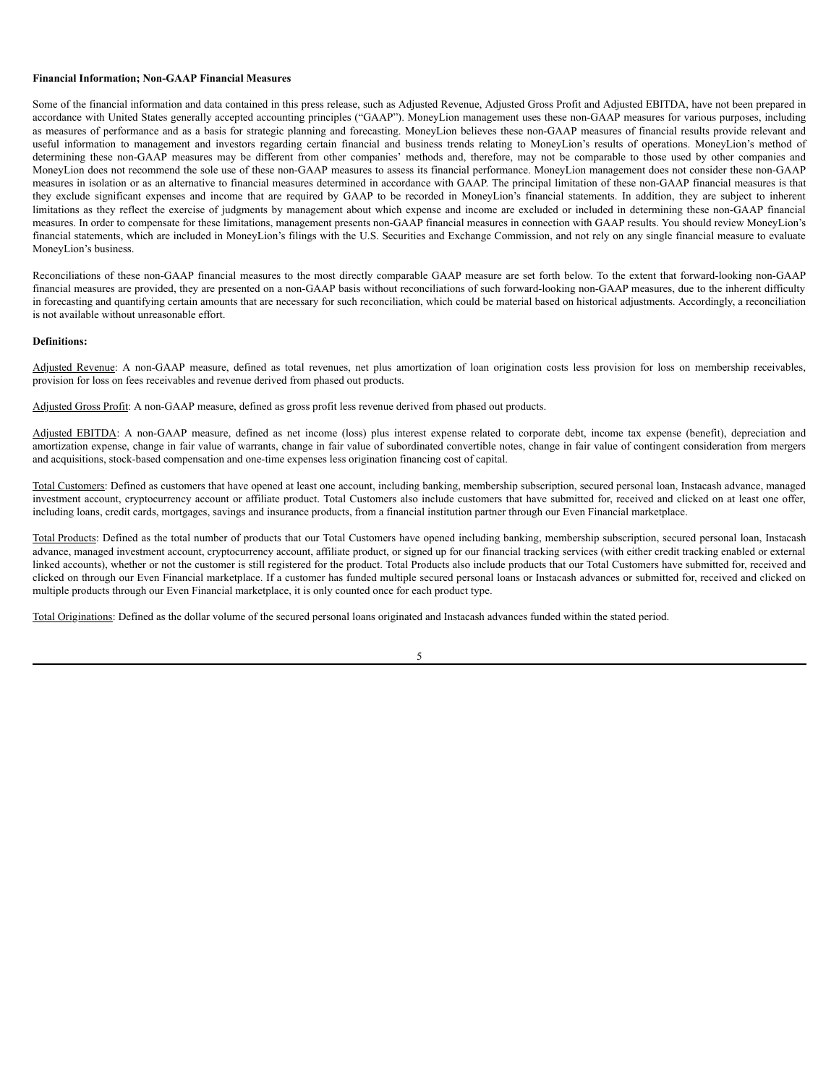#### **Financial Information; Non-GAAP Financial Measures**

Some of the financial information and data contained in this press release, such as Adjusted Revenue, Adjusted Gross Profit and Adjusted EBITDA, have not been prepared in accordance with United States generally accepted accounting principles ("GAAP"). MoneyLion management uses these non-GAAP measures for various purposes, including as measures of performance and as a basis for strategic planning and forecasting. MoneyLion believes these non-GAAP measures of financial results provide relevant and useful information to management and investors regarding certain financial and business trends relating to MoneyLion's results of operations. MoneyLion's method of determining these non-GAAP measures may be different from other companies' methods and, therefore, may not be comparable to those used by other companies and MoneyLion does not recommend the sole use of these non-GAAP measures to assess its financial performance. MoneyLion management does not consider these non-GAAP measures in isolation or as an alternative to financial measures determined in accordance with GAAP. The principal limitation of these non-GAAP financial measures is that they exclude significant expenses and income that are required by GAAP to be recorded in MoneyLion's financial statements. In addition, they are subject to inherent limitations as they reflect the exercise of judgments by management about which expense and income are excluded or included in determining these non-GAAP financial measures. In order to compensate for these limitations, management presents non-GAAP financial measures in connection with GAAP results. You should review MoneyLion's financial statements, which are included in MoneyLion's filings with the U.S. Securities and Exchange Commission, and not rely on any single financial measure to evaluate MoneyLion's business.

Reconciliations of these non-GAAP financial measures to the most directly comparable GAAP measure are set forth below. To the extent that forward-looking non-GAAP financial measures are provided, they are presented on a non-GAAP basis without reconciliations of such forward-looking non-GAAP measures, due to the inherent difficulty in forecasting and quantifying certain amounts that are necessary for such reconciliation, which could be material based on historical adjustments. Accordingly, a reconciliation is not available without unreasonable effort.

#### **Definitions:**

Adjusted Revenue: A non-GAAP measure, defined as total revenues, net plus amortization of loan origination costs less provision for loss on membership receivables, provision for loss on fees receivables and revenue derived from phased out products.

Adjusted Gross Profit: A non-GAAP measure, defined as gross profit less revenue derived from phased out products.

Adjusted EBITDA: A non-GAAP measure, defined as net income (loss) plus interest expense related to corporate debt, income tax expense (benefit), depreciation and amortization expense, change in fair value of warrants, change in fair value of subordinated convertible notes, change in fair value of contingent consideration from mergers and acquisitions, stock-based compensation and one-time expenses less origination financing cost of capital.

Total Customers: Defined as customers that have opened at least one account, including banking, membership subscription, secured personal loan, Instacash advance, managed investment account, cryptocurrency account or affiliate product. Total Customers also include customers that have submitted for, received and clicked on at least one offer, including loans, credit cards, mortgages, savings and insurance products, from a financial institution partner through our Even Financial marketplace.

Total Products: Defined as the total number of products that our Total Customers have opened including banking, membership subscription, secured personal loan, Instacash advance, managed investment account, cryptocurrency account, affiliate product, or signed up for our financial tracking services (with either credit tracking enabled or external linked accounts), whether or not the customer is still registered for the product. Total Products also include products that our Total Customers have submitted for, received and clicked on through our Even Financial marketplace. If a customer has funded multiple secured personal loans or Instacash advances or submitted for, received and clicked on multiple products through our Even Financial marketplace, it is only counted once for each product type.

Total Originations: Defined as the dollar volume of the secured personal loans originated and Instacash advances funded within the stated period.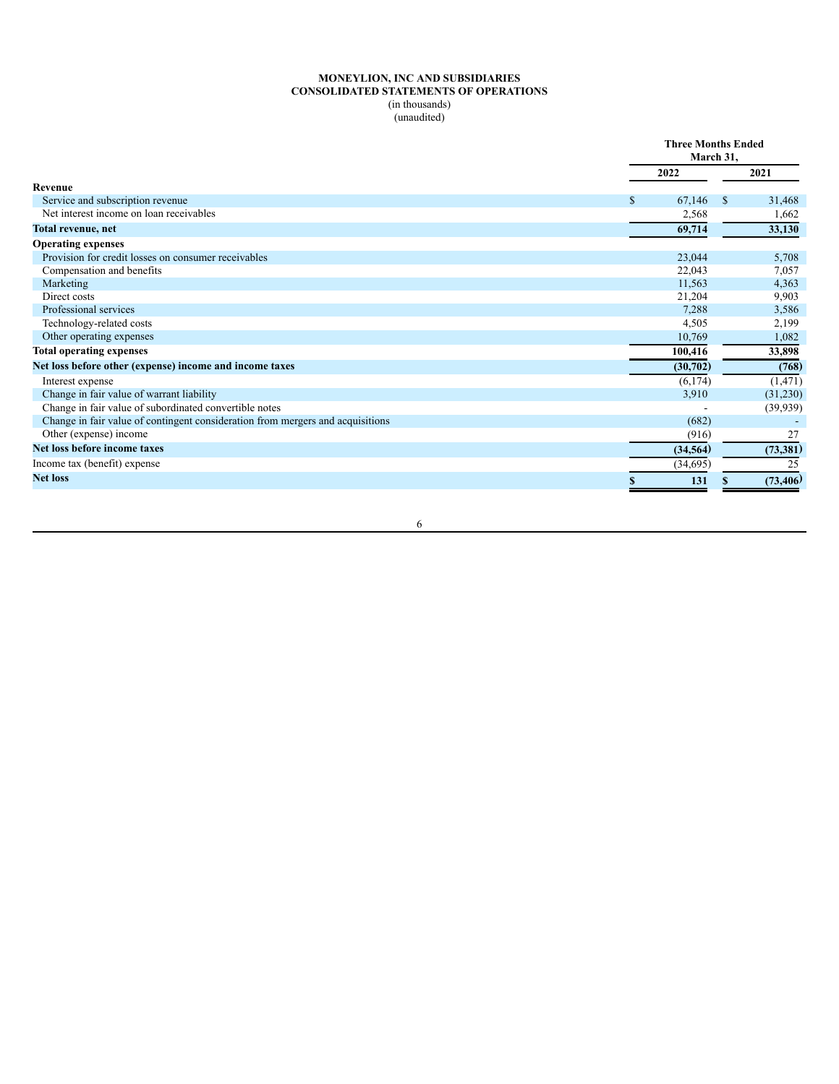## **MONEYLION, INC AND SUBSIDIARIES CONSOLIDATED STATEMENTS OF OPERATIONS** (in thousands) (unaudited)

|                                                                                | <b>Three Months Ended</b><br>March 31, |              |
|--------------------------------------------------------------------------------|----------------------------------------|--------------|
|                                                                                | 2022                                   | 2021         |
| Revenue                                                                        |                                        |              |
| Service and subscription revenue                                               | 67,146<br>S.                           | \$<br>31,468 |
| Net interest income on loan receivables                                        | 2,568                                  | 1,662        |
| Total revenue, net                                                             | 69,714                                 | 33,130       |
| <b>Operating expenses</b>                                                      |                                        |              |
| Provision for credit losses on consumer receivables                            | 23,044                                 | 5,708        |
| Compensation and benefits                                                      | 22,043                                 | 7,057        |
| Marketing                                                                      | 11,563                                 | 4,363        |
| Direct costs                                                                   | 21,204                                 | 9,903        |
| Professional services                                                          | 7,288                                  | 3,586        |
| Technology-related costs                                                       | 4,505                                  | 2,199        |
| Other operating expenses                                                       | 10,769                                 | 1,082        |
| <b>Total operating expenses</b>                                                | 100,416                                | 33,898       |
| Net loss before other (expense) income and income taxes                        | (30,702)                               | (768)        |
| Interest expense                                                               | (6, 174)                               | (1, 471)     |
| Change in fair value of warrant liability                                      | 3,910                                  | (31,230)     |
| Change in fair value of subordinated convertible notes                         |                                        | (39, 939)    |
| Change in fair value of contingent consideration from mergers and acquisitions | (682)                                  |              |
| Other (expense) income                                                         | (916)                                  | 27           |
| Net loss before income taxes                                                   | (34, 564)                              | (73, 381)    |
| Income tax (benefit) expense                                                   | (34,695)                               | 25           |
| <b>Net loss</b>                                                                | 131                                    | (73, 406)    |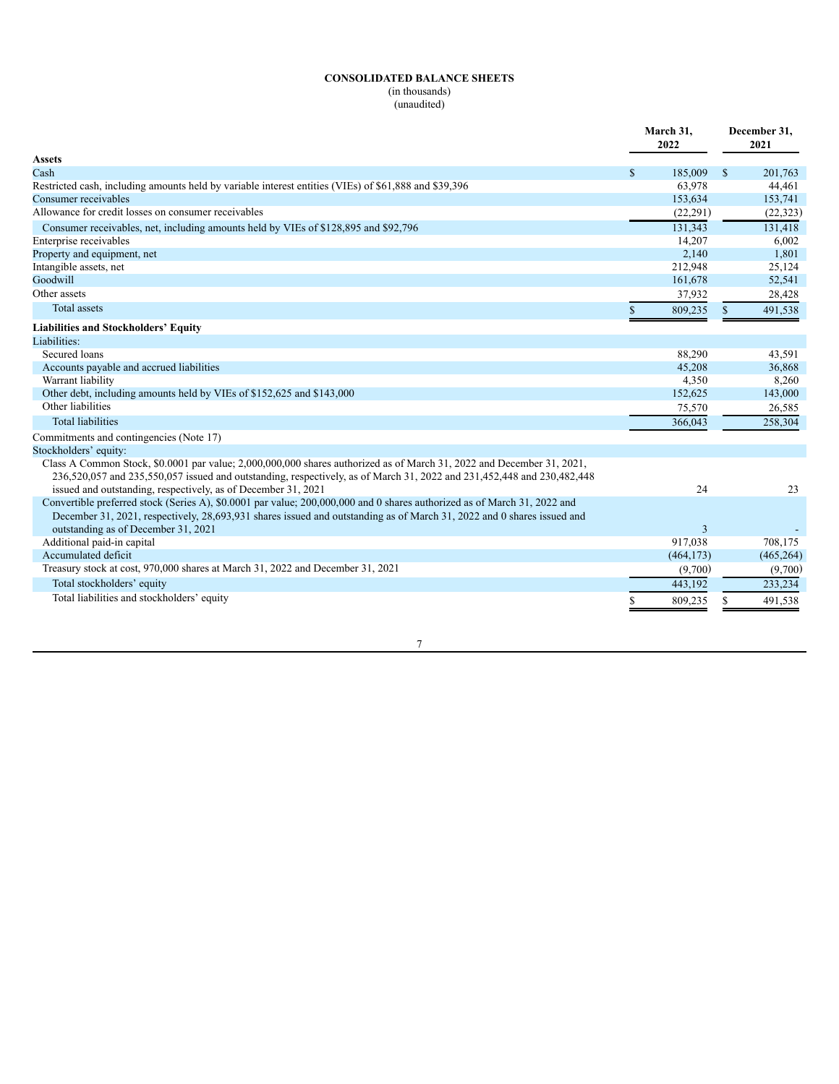# **CONSOLIDATED BALANCE SHEETS**

(in thousands) (unaudited)

|                                                                                                                                                                                                                                                                                                                  | March 31,<br>2022 |              | December 31,<br>2021 |
|------------------------------------------------------------------------------------------------------------------------------------------------------------------------------------------------------------------------------------------------------------------------------------------------------------------|-------------------|--------------|----------------------|
| Assets                                                                                                                                                                                                                                                                                                           |                   |              |                      |
| Cash                                                                                                                                                                                                                                                                                                             | \$<br>185,009     | $\mathbb{S}$ | 201,763              |
| Restricted cash, including amounts held by variable interest entities (VIEs) of \$61,888 and \$39,396                                                                                                                                                                                                            | 63,978            |              | 44,461               |
| Consumer receivables                                                                                                                                                                                                                                                                                             | 153,634           |              | 153,741              |
| Allowance for credit losses on consumer receivables                                                                                                                                                                                                                                                              | (22, 291)         |              | (22, 323)            |
| Consumer receivables, net, including amounts held by VIEs of \$128,895 and \$92,796                                                                                                                                                                                                                              | 131,343           |              | 131,418              |
| Enterprise receivables                                                                                                                                                                                                                                                                                           | 14,207            |              | 6,002                |
| Property and equipment, net                                                                                                                                                                                                                                                                                      | 2,140             |              | 1,801                |
| Intangible assets, net                                                                                                                                                                                                                                                                                           | 212,948           |              | 25,124               |
| Goodwill                                                                                                                                                                                                                                                                                                         | 161,678           |              | 52,541               |
| Other assets                                                                                                                                                                                                                                                                                                     | 37,932            |              | 28,428               |
| <b>Total assets</b>                                                                                                                                                                                                                                                                                              | \$<br>809,235     | S            | 491,538              |
| <b>Liabilities and Stockholders' Equity</b>                                                                                                                                                                                                                                                                      |                   |              |                      |
| Liabilities:                                                                                                                                                                                                                                                                                                     |                   |              |                      |
| Secured loans                                                                                                                                                                                                                                                                                                    | 88,290            |              | 43,591               |
| Accounts payable and accrued liabilities                                                                                                                                                                                                                                                                         | 45,208            |              | 36,868               |
| Warrant liability                                                                                                                                                                                                                                                                                                | 4,350             |              | 8,260                |
| Other debt, including amounts held by VIEs of \$152,625 and \$143,000                                                                                                                                                                                                                                            | 152,625           |              | 143,000              |
| Other liabilities                                                                                                                                                                                                                                                                                                | 75,570            |              | 26,585               |
| <b>Total liabilities</b>                                                                                                                                                                                                                                                                                         | 366,043           |              | 258,304              |
| Commitments and contingencies (Note 17)                                                                                                                                                                                                                                                                          |                   |              |                      |
| Stockholders' equity:                                                                                                                                                                                                                                                                                            |                   |              |                      |
| Class A Common Stock, \$0.0001 par value; 2,000,000,000 shares authorized as of March 31, 2022 and December 31, 2021,<br>236,520,057 and 235,550,057 issued and outstanding, respectively, as of March 31, 2022 and 231,452,448 and 230,482,448<br>issued and outstanding, respectively, as of December 31, 2021 | 24                |              | 23                   |
| Convertible preferred stock (Series A), \$0.0001 par value; 200,000,000 and 0 shares authorized as of March 31, 2022 and                                                                                                                                                                                         |                   |              |                      |
| December 31, 2021, respectively, 28,693,931 shares issued and outstanding as of March 31, 2022 and 0 shares issued and                                                                                                                                                                                           |                   |              |                      |
| outstanding as of December 31, 2021                                                                                                                                                                                                                                                                              | 3                 |              |                      |
| Additional paid-in capital                                                                                                                                                                                                                                                                                       | 917,038           |              | 708,175              |
| Accumulated deficit                                                                                                                                                                                                                                                                                              | (464, 173)        |              | (465, 264)           |
| Treasury stock at cost, 970,000 shares at March 31, 2022 and December 31, 2021                                                                                                                                                                                                                                   | (9,700)           |              | (9,700)              |
| Total stockholders' equity                                                                                                                                                                                                                                                                                       | 443,192           |              | 233,234              |
| Total liabilities and stockholders' equity                                                                                                                                                                                                                                                                       | 809,235           |              | 491,538              |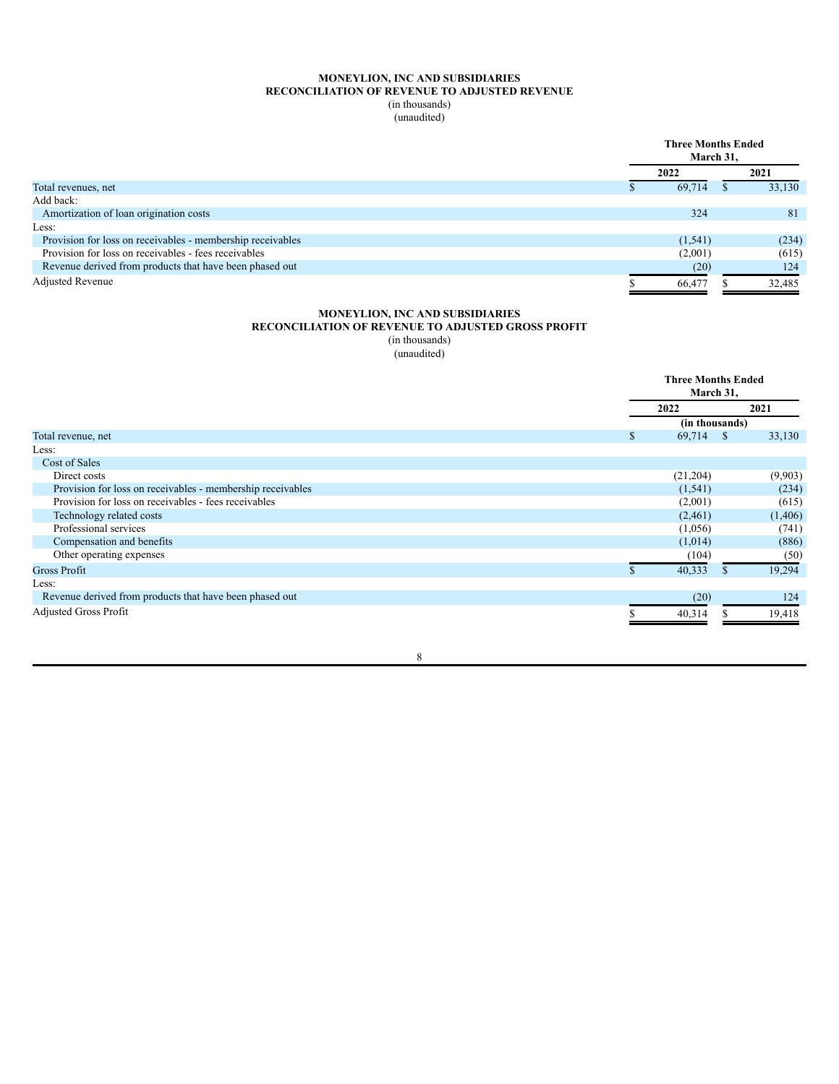## **MONEYLION, INC AND SUBSIDIARIES RECONCILIATION OF REVENUE TO ADJUSTED REVENUE** (in thousands) (unaudited)

|                                                            | <b>Three Months Ended</b><br>March 31, |  |        |
|------------------------------------------------------------|----------------------------------------|--|--------|
|                                                            | 2022                                   |  | 2021   |
| Total revenues, net                                        | 69,714                                 |  | 33,130 |
| Add back:                                                  |                                        |  |        |
| Amortization of loan origination costs                     | 324                                    |  | 81     |
| Less:                                                      |                                        |  |        |
| Provision for loss on receivables - membership receivables | (1, 541)                               |  | (234)  |
| Provision for loss on receivables - fees receivables       | (2,001)                                |  | (615)  |
| Revenue derived from products that have been phased out    | (20)                                   |  | 124    |
| <b>Adjusted Revenue</b>                                    | 66,477                                 |  | 32,485 |

## **MONEYLION, INC AND SUBSIDIARIES**

# **RECONCILIATION OF REVENUE TO ADJUSTED GROSS PROFIT**

(in thousands)

(unaudited)

|                                                            |              | <b>Three Months Ended</b><br>March 31, |  |  |
|------------------------------------------------------------|--------------|----------------------------------------|--|--|
|                                                            | 2022         | 2021                                   |  |  |
|                                                            |              | (in thousands)                         |  |  |
| Total revenue, net                                         | 69,714<br>\$ | 33,130<br><sup>\$</sup>                |  |  |
| Less:                                                      |              |                                        |  |  |
| Cost of Sales                                              |              |                                        |  |  |
| Direct costs                                               | (21,204)     | (9,903)                                |  |  |
| Provision for loss on receivables - membership receivables | (1, 541)     | (234)                                  |  |  |
| Provision for loss on receivables - fees receivables       | (2,001)      | (615)                                  |  |  |
| Technology related costs                                   | (2,461)      | (1, 406)                               |  |  |
| Professional services                                      | (1,056)      | (741)                                  |  |  |
| Compensation and benefits                                  | (1,014)      | (886)                                  |  |  |
| Other operating expenses                                   | (104)        | (50)                                   |  |  |
| <b>Gross Profit</b>                                        | 40,333       | 19,294                                 |  |  |
| Less:                                                      |              |                                        |  |  |
| Revenue derived from products that have been phased out    |              | (20)<br>124                            |  |  |
| <b>Adjusted Gross Profit</b>                               | 40,314       | 19,418                                 |  |  |
|                                                            |              |                                        |  |  |